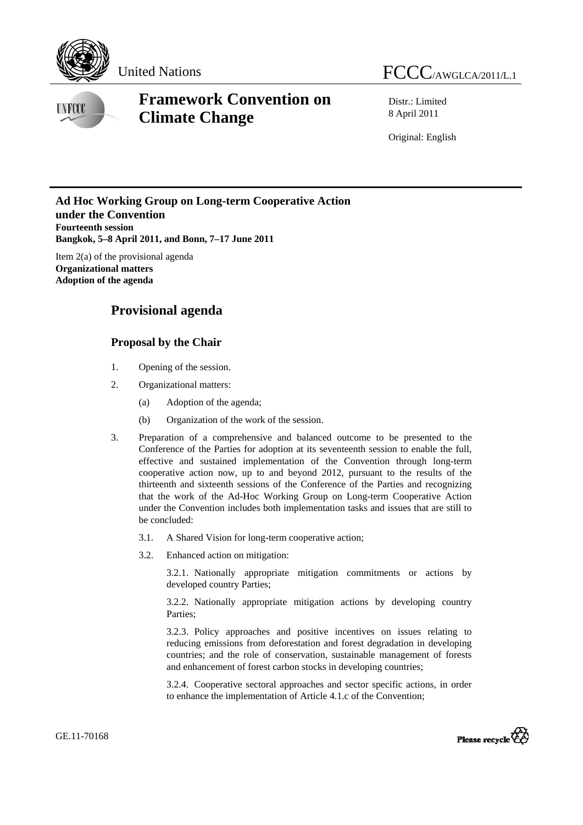



## **Framework Convention on Climate Change**

Distr.: Limited 8 April 2011

Original: English

## **Ad Hoc Working Group on Long-term Cooperative Action under the Convention Fourteenth session Bangkok, 5–8 April 2011, and Bonn, 7–17 June 2011**

Item 2(a) of the provisional agenda **Organizational matters Adoption of the agenda** 

## **Provisional agenda**

## **Proposal by the Chair**

- 1. Opening of the session.
- 2. Organizational matters:
	- (a) Adoption of the agenda;
	- (b) Organization of the work of the session.
- 3. Preparation of a comprehensive and balanced outcome to be presented to the Conference of the Parties for adoption at its seventeenth session to enable the full, effective and sustained implementation of the Convention through long-term cooperative action now, up to and beyond 2012, pursuant to the results of the thirteenth and sixteenth sessions of the Conference of the Parties and recognizing that the work of the Ad-Hoc Working Group on Long-term Cooperative Action under the Convention includes both implementation tasks and issues that are still to be concluded:
	- 3.1. A Shared Vision for long-term cooperative action;
	- 3.2. Enhanced action on mitigation:

3.2.1. Nationally appropriate mitigation commitments or actions by developed country Parties;

3.2.2. Nationally appropriate mitigation actions by developing country Parties;

3.2.3. Policy approaches and positive incentives on issues relating to reducing emissions from deforestation and forest degradation in developing countries; and the role of conservation, sustainable management of forests and enhancement of forest carbon stocks in developing countries;

3.2.4. Cooperative sectoral approaches and sector specific actions, in order to enhance the implementation of Article 4.1.c of the Convention;